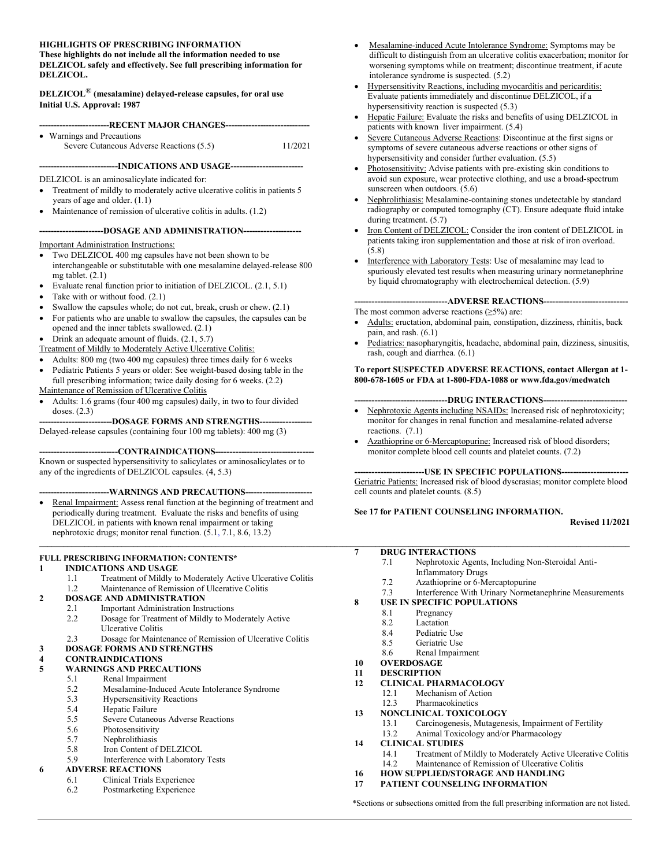#### HIGHLIGHTS OF PRESCRIBING INFORMATION

These highlights do not include all the information needed to use DELZICOL safely and effectively. See full prescribing information for DELZICOL.

DELZICOL® (mesalamine) delayed-release capsules, for oral use Initial U.S. Approval: 1987

| --------------------------RECENT MAJOR CHANGES--------------------------------- |                                          |         |  |
|---------------------------------------------------------------------------------|------------------------------------------|---------|--|
|                                                                                 | • Warnings and Precautions               |         |  |
|                                                                                 | Severe Cutaneous Adverse Reactions (5.5) | 11/2021 |  |

---------------------------INDICATIONS AND USAGE-------------------------

DELZICOL is an aminosalicylate indicated for:

- Treatment of mildly to moderately active ulcerative colitis in patients 5 years of age and older. (1.1)
- Maintenance of remission of ulcerative colitis in adults. (1.2)

#### ----------------------DOSAGE AND ADMINISTRATION--------------------

Important Administration Instructions:

- Two DELZICOL 400 mg capsules have not been shown to be interchangeable or substitutable with one mesalamine delayed-release 800 mg tablet. (2.1)
- Evaluate renal function prior to initiation of DELZICOL. (2.1, 5.1)
- Take with or without food. (2.1)
- Swallow the capsules whole; do not cut, break, crush or chew. (2.1)
- For patients who are unable to swallow the capsules, the capsules can be opened and the inner tablets swallowed. (2.1)
- Drink an adequate amount of fluids.  $(2.1, 5.7)$

Treatment of Mildly to Moderately Active Ulcerative Colitis:

- Adults: 800 mg (two 400 mg capsules) three times daily for 6 weeks
- Pediatric Patients 5 years or older: See weight-based dosing table in the full prescribing information; twice daily dosing for 6 weeks. (2.2)
- Maintenance of Remission of Ulcerative Colitis
- Adults: 1.6 grams (four 400 mg capsules) daily, in two to four divided doses. (2.3)

---DOSAGE FORMS AND STRENGTHS---Delayed-release capsules (containing four 100 mg tablets): 400 mg (3)

----CONTRAINDICATIONS------

Known or suspected hypersensitivity to salicylates or aminosalicylates or to any of the ingredients of DELZICOL capsules. (4, 5.3)

#### -----WARNINGS AND PRECAUTIONS---

 Renal Impairment: Assess renal function at the beginning of treatment and periodically during treatment. Evaluate the risks and benefits of using DELZICOL in patients with known renal impairment or taking nephrotoxic drugs; monitor renal function. (5.1, 7.1, 8.6, 13.2)

#### FULL PRESCRIBING INFORMATION: CONTENTS\*

#### 1 INDICATIONS AND USAGE

- 1.1 Treatment of Mildly to Moderately Active Ulcerative Colitis<br>1.2 Maintenance of Remission of Ulcerative Colitis
- Maintenance of Remission of Ulcerative Colitis

### 2 DOSAGE AND ADMINISTRATION

- 2.1 Important Administration Instructions
- 2.2 Dosage for Treatment of Mildly to Moderately Active Ulcerative Colitis
- 2.3 Dosage for Maintenance of Remission of Ulcerative Colitis
- 3 DOSAGE FORMS AND STRENGTHS

# 4 CONTRAINDICATIONS<br>5 WARNINGS AND PREC.

#### 5 WARNINGS AND PRECAUTIONS

- 5.1 Renal Impairment
- 5.2 Mesalamine-Induced Acute Intolerance Syndrome
- 5.3 Hypersensitivity Reactions<br>5.4 Hepatic Failure
- Hepatic Failure
- 5.5 Severe Cutaneous Adverse Reactions
- 5.6 Photosensitivity<br>5.7 Nephrolithiasis
- 5.7 Nephrolithiasis<br>5.8 Iron Content of
- Iron Content of DELZICOL 5.9 Interference with Laboratory Tests

#### 6 ADVERSE REACTIONS

- 6.1 Clinical Trials Experience
	- 6.2 Postmarketing Experience
- Mesalamine-induced Acute Intolerance Syndrome: Symptoms may be difficult to distinguish from an ulcerative colitis exacerbation; monitor for worsening symptoms while on treatment; discontinue treatment, if acute intolerance syndrome is suspected. (5.2)
- Hypersensitivity Reactions, including myocarditis and pericarditis: Evaluate patients immediately and discontinue DELZICOL, if a hypersensitivity reaction is suspected (5.3)
- Hepatic Failure: Evaluate the risks and benefits of using DELZICOL in patients with known liver impairment. (5.4)
- Severe Cutaneous Adverse Reactions: Discontinue at the first signs or symptoms of severe cutaneous adverse reactions or other signs of hypersensitivity and consider further evaluation. (5.5)
- Photosensitivity: Advise patients with pre-existing skin conditions to avoid sun exposure, wear protective clothing, and use a broad-spectrum sunscreen when outdoors. (5.6)
- Nephrolithiasis: Mesalamine-containing stones undetectable by standard radiography or computed tomography (CT). Ensure adequate fluid intake during treatment. (5.7)
- Iron Content of DELZICOL: Consider the iron content of DELZICOL in patients taking iron supplementation and those at risk of iron overload. (5.8)
- Interference with Laboratory Tests: Use of mesalamine may lead to spuriously elevated test results when measuring urinary normetanephrine by liquid chromatography with electrochemical detection. (5.9)
	- --------------------------------ADVERSE REACTIONS-----------------------------

The most common adverse reactions  $(\geq 5\%)$  are:

- Adults: eructation, abdominal pain, constipation, dizziness, rhinitis, back pain, and rash. (6.1)
- Pediatrics: nasopharyngitis, headache, abdominal pain, dizziness, sinusitis, rash, cough and diarrhea. (6.1)

#### To report SUSPECTED ADVERSE REACTIONS, contact Allergan at 1- 800-678-1605 or FDA at 1-800-FDA-1088 or www.fda.gov/medwatch

#### --------------------------------DRUG INTERACTIONS-----------------------------

- Nephrotoxic Agents including NSAIDs: Increased risk of nephrotoxicity; monitor for changes in renal function and mesalamine-related adverse reactions. (7.1)
- Azathioprine or 6-Mercaptopurine: Increased risk of blood disorders; monitor complete blood cell counts and platelet counts. (7.2)

#### ---USE IN SPECIFIC POPULATIONS---

Geriatric Patients: Increased risk of blood dyscrasias; monitor complete blood cell counts and platelet counts. (8.5)

#### See 17 for PATIENT COUNSELING INFORMATION.

Revised 11/2021

#### 7 DRUG INTERACTIONS

 $\mathcal{L}_\mathcal{L} = \mathcal{L}_\mathcal{L} = \mathcal{L}_\mathcal{L} = \mathcal{L}_\mathcal{L} = \mathcal{L}_\mathcal{L} = \mathcal{L}_\mathcal{L} = \mathcal{L}_\mathcal{L} = \mathcal{L}_\mathcal{L} = \mathcal{L}_\mathcal{L} = \mathcal{L}_\mathcal{L} = \mathcal{L}_\mathcal{L} = \mathcal{L}_\mathcal{L} = \mathcal{L}_\mathcal{L} = \mathcal{L}_\mathcal{L} = \mathcal{L}_\mathcal{L} = \mathcal{L}_\mathcal{L} = \mathcal{L}_\mathcal{L}$ 

- 7.1 Nephrotoxic Agents, Including Non-Steroidal Anti-
- Inflammatory Drugs
- 7.2 Azathioprine or 6-Mercaptopurine<br>7.3 Interference With Urinary Normeta
- Interference With Urinary Normetanephrine Measurements

#### 8 USE IN SPECIFIC POPULATIONS

- 8.1 Pregnancy
- 8.2 Lactation<br>8.4 Pediatric U
- Pediatric Use
- 8.5 Geriatric Use
- 8.6 Renal Impairment
- 10 OVERDOSAGE
- 11 DESCRIPTION
- 12 CLINICAL PHARMACOLOGY
	- 12.1 Mechanism of Action<br>12.3 Pharmacokinetics **Pharmacokinetics**
- 
- 13 NONCLINICAL TOXICOLOGY
	- 13.1 Carcinogenesis, Mutagenesis, Impairment of Fertility
	- 13.2 Animal Toxicology and/or Pharmacology
- 14 CLINICAL STUDIES
	- 14.1 Treatment of Mildly to Moderately Active Ulcerative Colitis 14.2 Maintenance of Remission of Ulcerative Colitis
- 16 HOW SUPPLIED/STORAGE AND HANDLING
- 17 PATIENT COUNSELING INFORMATION

\*Sections or subsections omitted from the full prescribing information are not listed.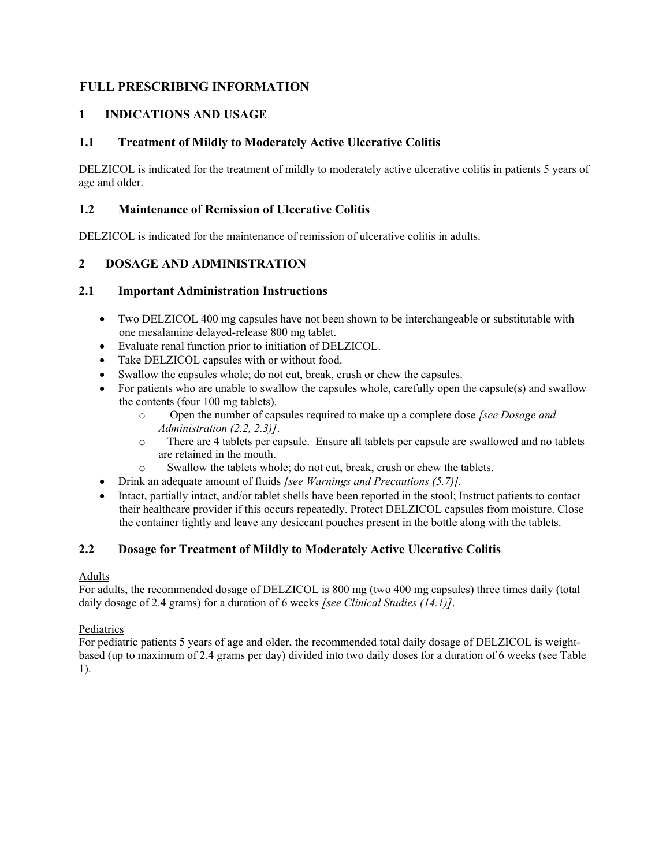## FULL PRESCRIBING INFORMATION

## 1 INDICATIONS AND USAGE

## 1.1 Treatment of Mildly to Moderately Active Ulcerative Colitis

DELZICOL is indicated for the treatment of mildly to moderately active ulcerative colitis in patients 5 years of age and older.

## 1.2 Maintenance of Remission of Ulcerative Colitis

DELZICOL is indicated for the maintenance of remission of ulcerative colitis in adults.

## 2 DOSAGE AND ADMINISTRATION

### 2.1 Important Administration Instructions

- Two DELZICOL 400 mg capsules have not been shown to be interchangeable or substitutable with one mesalamine delayed-release 800 mg tablet.
- Evaluate renal function prior to initiation of DELZICOL.
- Take DELZICOL capsules with or without food.
- Swallow the capsules whole; do not cut, break, crush or chew the capsules.
- For patients who are unable to swallow the capsules whole, carefully open the capsule(s) and swallow the contents (four 100 mg tablets).
	- o Open the number of capsules required to make up a complete dose [see Dosage and Administration (2.2, 2.3)].
	- o There are 4 tablets per capsule. Ensure all tablets per capsule are swallowed and no tablets are retained in the mouth.
	- o Swallow the tablets whole; do not cut, break, crush or chew the tablets.
- Drink an adequate amount of fluids [see Warnings and Precautions (5.7)].
- Intact, partially intact, and/or tablet shells have been reported in the stool; Instruct patients to contact their healthcare provider if this occurs repeatedly. Protect DELZICOL capsules from moisture. Close the container tightly and leave any desiccant pouches present in the bottle along with the tablets.

## 2.2 Dosage for Treatment of Mildly to Moderately Active Ulcerative Colitis

### Adults

For adults, the recommended dosage of DELZICOL is 800 mg (two 400 mg capsules) three times daily (total daily dosage of 2.4 grams) for a duration of 6 weeks [see Clinical Studies (14.1)].

### Pediatrics

For pediatric patients 5 years of age and older, the recommended total daily dosage of DELZICOL is weightbased (up to maximum of 2.4 grams per day) divided into two daily doses for a duration of 6 weeks (see Table 1).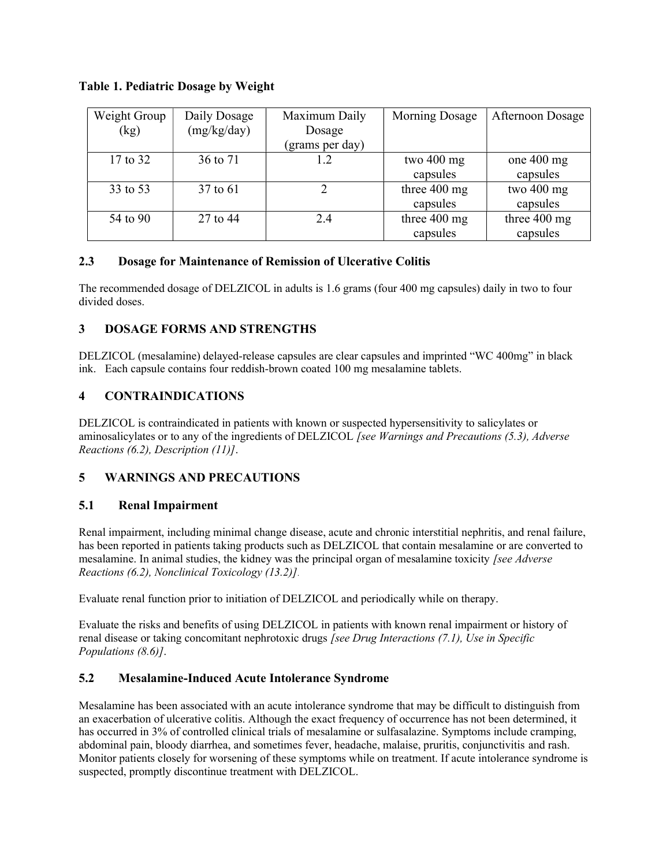|  | Table 1. Pediatric Dosage by Weight |  |  |
|--|-------------------------------------|--|--|
|  |                                     |  |  |

| Weight Group | Daily Dosage | Maximum Daily   | Morning Dosage         | <b>Afternoon Dosage</b> |
|--------------|--------------|-----------------|------------------------|-------------------------|
| (kg)         | (mg/kg/day)  | Dosage          |                        |                         |
|              |              | (grams per day) |                        |                         |
| 17 to 32     | 36 to 71     | 1.2             | two 400 mg             | one $400$ mg            |
|              |              |                 | capsules               | capsules                |
| 33 to 53     | 37 to 61     |                 | three 400 mg           | two 400 mg              |
|              |              |                 | capsules               | capsules                |
| 54 to 90     | 27 to 44     | 2.4             | three $400 \text{ mg}$ | three $400 \text{ mg}$  |
|              |              |                 | capsules               | capsules                |

## 2.3 Dosage for Maintenance of Remission of Ulcerative Colitis

The recommended dosage of DELZICOL in adults is 1.6 grams (four 400 mg capsules) daily in two to four divided doses.

## 3 DOSAGE FORMS AND STRENGTHS

DELZICOL (mesalamine) delayed-release capsules are clear capsules and imprinted "WC 400mg" in black ink. Each capsule contains four reddish-brown coated 100 mg mesalamine tablets.

## 4 CONTRAINDICATIONS

DELZICOL is contraindicated in patients with known or suspected hypersensitivity to salicylates or aminosalicylates or to any of the ingredients of DELZICOL [see Warnings and Precautions (5.3), Adverse Reactions (6.2), Description (11)].

## 5 WARNINGS AND PRECAUTIONS

## 5.1 Renal Impairment

Renal impairment, including minimal change disease, acute and chronic interstitial nephritis, and renal failure, has been reported in patients taking products such as DELZICOL that contain mesalamine or are converted to mesalamine. In animal studies, the kidney was the principal organ of mesalamine toxicity [see Adverse Reactions (6.2), Nonclinical Toxicology (13.2)].

Evaluate renal function prior to initiation of DELZICOL and periodically while on therapy.

Evaluate the risks and benefits of using DELZICOL in patients with known renal impairment or history of renal disease or taking concomitant nephrotoxic drugs [see Drug Interactions (7.1), Use in Specific Populations (8.6)].

## 5.2 Mesalamine-Induced Acute Intolerance Syndrome

Mesalamine has been associated with an acute intolerance syndrome that may be difficult to distinguish from an exacerbation of ulcerative colitis. Although the exact frequency of occurrence has not been determined, it has occurred in 3% of controlled clinical trials of mesalamine or sulfasalazine. Symptoms include cramping, abdominal pain, bloody diarrhea, and sometimes fever, headache, malaise, pruritis, conjunctivitis and rash. Monitor patients closely for worsening of these symptoms while on treatment. If acute intolerance syndrome is suspected, promptly discontinue treatment with DELZICOL.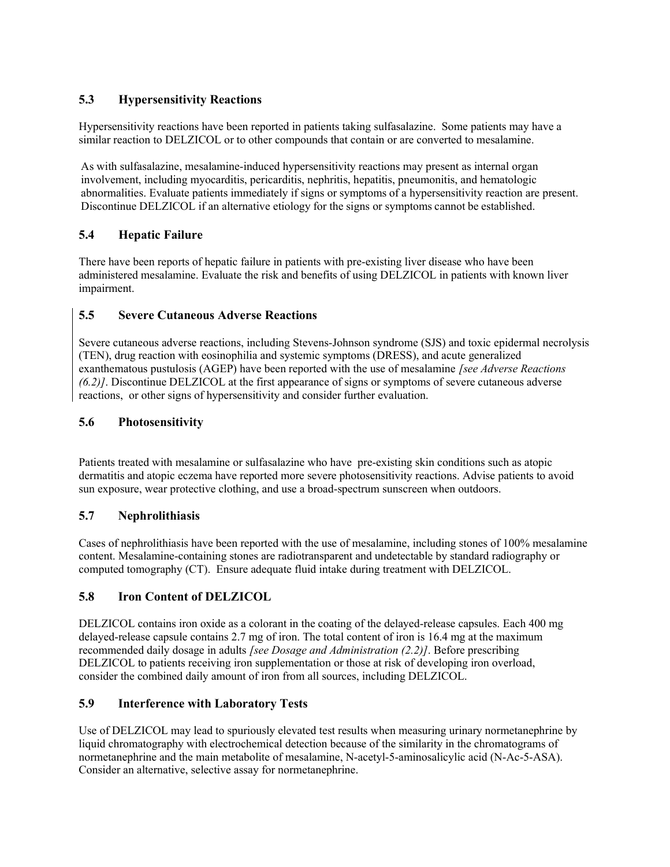## 5.3 Hypersensitivity Reactions

Hypersensitivity reactions have been reported in patients taking sulfasalazine. Some patients may have a similar reaction to DELZICOL or to other compounds that contain or are converted to mesalamine.

As with sulfasalazine, mesalamine-induced hypersensitivity reactions may present as internal organ involvement, including myocarditis, pericarditis, nephritis, hepatitis, pneumonitis, and hematologic abnormalities. Evaluate patients immediately if signs or symptoms of a hypersensitivity reaction are present. Discontinue DELZICOL if an alternative etiology for the signs or symptoms cannot be established.

## 5.4 Hepatic Failure

There have been reports of hepatic failure in patients with pre-existing liver disease who have been administered mesalamine. Evaluate the risk and benefits of using DELZICOL in patients with known liver impairment.

## 5.5 Severe Cutaneous Adverse Reactions

Severe cutaneous adverse reactions, including Stevens-Johnson syndrome (SJS) and toxic epidermal necrolysis (TEN), drug reaction with eosinophilia and systemic symptoms (DRESS), and acute generalized exanthematous pustulosis (AGEP) have been reported with the use of mesalamine [see Adverse Reactions (6.2)]. Discontinue DELZICOL at the first appearance of signs or symptoms of severe cutaneous adverse reactions, or other signs of hypersensitivity and consider further evaluation.

## 5.6 Photosensitivity

Patients treated with mesalamine or sulfasalazine who have pre-existing skin conditions such as atopic dermatitis and atopic eczema have reported more severe photosensitivity reactions. Advise patients to avoid sun exposure, wear protective clothing, and use a broad-spectrum sunscreen when outdoors.

## 5.7 Nephrolithiasis

Cases of nephrolithiasis have been reported with the use of mesalamine, including stones of 100% mesalamine content. Mesalamine-containing stones are radiotransparent and undetectable by standard radiography or computed tomography (CT). Ensure adequate fluid intake during treatment with DELZICOL.

## 5.8 Iron Content of DELZICOL

DELZICOL contains iron oxide as a colorant in the coating of the delayed-release capsules. Each 400 mg delayed-release capsule contains 2.7 mg of iron. The total content of iron is 16.4 mg at the maximum recommended daily dosage in adults *[see Dosage and Administration (2.2)]*. Before prescribing DELZICOL to patients receiving iron supplementation or those at risk of developing iron overload, consider the combined daily amount of iron from all sources, including DELZICOL.

## 5.9 Interference with Laboratory Tests

Use of DELZICOL may lead to spuriously elevated test results when measuring urinary normetanephrine by liquid chromatography with electrochemical detection because of the similarity in the chromatograms of normetanephrine and the main metabolite of mesalamine, N-acetyl-5-aminosalicylic acid (N-Ac-5-ASA). Consider an alternative, selective assay for normetanephrine.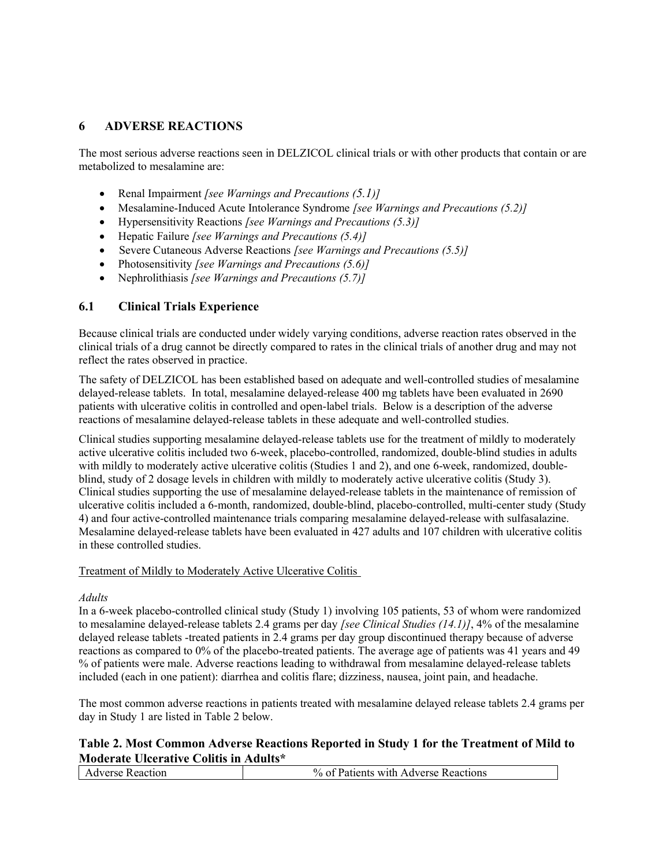## 6 ADVERSE REACTIONS

The most serious adverse reactions seen in DELZICOL clinical trials or with other products that contain or are metabolized to mesalamine are:

- Renal Impairment [see Warnings and Precautions  $(5.1)$ ]
- Mesalamine-Induced Acute Intolerance Syndrome [see Warnings and Precautions (5.2)]
- Hypersensitivity Reactions [see Warnings and Precautions (5.3)]
- Hepatic Failure [see Warnings and Precautions (5.4)]
- Severe Cutaneous Adverse Reactions [see Warnings and Precautions (5.5)]
- Photosensitivity [see Warnings and Precautions (5.6)]
- Nephrolithiasis *[see Warnings and Precautions*  $(5.7)$ *]*

### 6.1 Clinical Trials Experience

Because clinical trials are conducted under widely varying conditions, adverse reaction rates observed in the clinical trials of a drug cannot be directly compared to rates in the clinical trials of another drug and may not reflect the rates observed in practice.

The safety of DELZICOL has been established based on adequate and well-controlled studies of mesalamine delayed-release tablets. In total, mesalamine delayed-release 400 mg tablets have been evaluated in 2690 patients with ulcerative colitis in controlled and open-label trials. Below is a description of the adverse reactions of mesalamine delayed-release tablets in these adequate and well-controlled studies.

Clinical studies supporting mesalamine delayed-release tablets use for the treatment of mildly to moderately active ulcerative colitis included two 6-week, placebo-controlled, randomized, double-blind studies in adults with mildly to moderately active ulcerative colitis (Studies 1 and 2), and one 6-week, randomized, doubleblind, study of 2 dosage levels in children with mildly to moderately active ulcerative colitis (Study 3). Clinical studies supporting the use of mesalamine delayed-release tablets in the maintenance of remission of ulcerative colitis included a 6-month, randomized, double-blind, placebo-controlled, multi-center study (Study 4) and four active-controlled maintenance trials comparing mesalamine delayed-release with sulfasalazine. Mesalamine delayed-release tablets have been evaluated in 427 adults and 107 children with ulcerative colitis in these controlled studies.

#### Treatment of Mildly to Moderately Active Ulcerative Colitis

#### Adults

In a 6-week placebo-controlled clinical study (Study 1) involving 105 patients, 53 of whom were randomized to mesalamine delayed-release tablets 2.4 grams per day *[see Clinical Studies (14.1)]*, 4% of the mesalamine delayed release tablets -treated patients in 2.4 grams per day group discontinued therapy because of adverse reactions as compared to 0% of the placebo-treated patients. The average age of patients was 41 years and 49 % of patients were male. Adverse reactions leading to withdrawal from mesalamine delayed-release tablets included (each in one patient): diarrhea and colitis flare; dizziness, nausea, joint pain, and headache.

The most common adverse reactions in patients treated with mesalamine delayed release tablets 2.4 grams per day in Study 1 are listed in Table 2 below.

### Table 2. Most Common Adverse Reactions Reported in Study 1 for the Treatment of Mild to Moderate Ulcerative Colitis in Adults\*

| eaction! | with Adverse Reactions :<br>anents |
|----------|------------------------------------|
|          |                                    |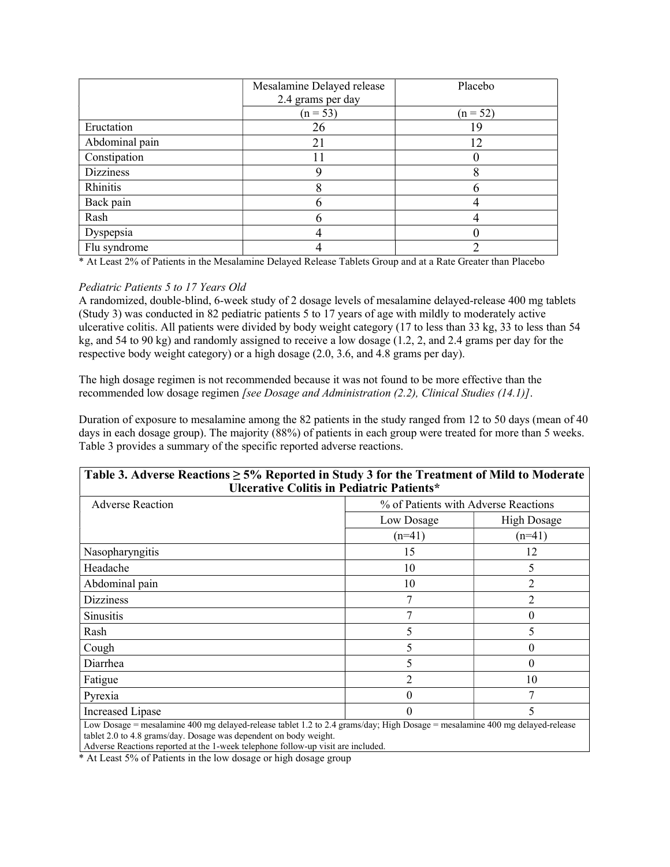|                  | Mesalamine Delayed release<br>2.4 grams per day | Placebo    |
|------------------|-------------------------------------------------|------------|
|                  | $(n = 53)$                                      | $(n = 52)$ |
| Eructation       | 26                                              | 19         |
| Abdominal pain   | 21                                              | 12         |
| Constipation     | 11                                              |            |
| <b>Dizziness</b> |                                                 |            |
| Rhinitis         | O                                               |            |
| Back pain        |                                                 |            |
| Rash             |                                                 |            |
| Dyspepsia        |                                                 |            |
| Flu syndrome     |                                                 |            |

\* At Least 2% of Patients in the Mesalamine Delayed Release Tablets Group and at a Rate Greater than Placebo

#### Pediatric Patients 5 to 17 Years Old

A randomized, double-blind, 6-week study of 2 dosage levels of mesalamine delayed-release 400 mg tablets (Study 3) was conducted in 82 pediatric patients 5 to 17 years of age with mildly to moderately active ulcerative colitis. All patients were divided by body weight category (17 to less than 33 kg, 33 to less than 54 kg, and 54 to 90 kg) and randomly assigned to receive a low dosage (1.2, 2, and 2.4 grams per day for the respective body weight category) or a high dosage (2.0, 3.6, and 4.8 grams per day).

The high dosage regimen is not recommended because it was not found to be more effective than the recommended low dosage regimen [see Dosage and Administration (2.2), Clinical Studies (14.1)].

Duration of exposure to mesalamine among the 82 patients in the study ranged from 12 to 50 days (mean of 40 days in each dosage group). The majority (88%) of patients in each group were treated for more than 5 weeks. Table 3 provides a summary of the specific reported adverse reactions.

| Table 3. Adverse Reactions $\geq 5\%$ Reported in Study 3 for the Treatment of Mild to Moderate<br><b>Ulcerative Colitis in Pediatric Patients*</b>                                              |                                      |                    |  |
|--------------------------------------------------------------------------------------------------------------------------------------------------------------------------------------------------|--------------------------------------|--------------------|--|
| <b>Adverse Reaction</b>                                                                                                                                                                          | % of Patients with Adverse Reactions |                    |  |
|                                                                                                                                                                                                  | Low Dosage                           | <b>High Dosage</b> |  |
|                                                                                                                                                                                                  | $(n=41)$                             | $(n=41)$           |  |
| Nasopharyngitis                                                                                                                                                                                  | 15                                   | 12                 |  |
| Headache                                                                                                                                                                                         | 10                                   | 5                  |  |
| Abdominal pain                                                                                                                                                                                   | 10                                   | 2                  |  |
| <b>Dizziness</b>                                                                                                                                                                                 | 7                                    | 2                  |  |
| <b>Sinusitis</b>                                                                                                                                                                                 | 7                                    | 0                  |  |
| Rash                                                                                                                                                                                             | 5                                    | 5                  |  |
| Cough                                                                                                                                                                                            | 5                                    | $\theta$           |  |
| Diarrhea                                                                                                                                                                                         | 5                                    | $\Omega$           |  |
| Fatigue                                                                                                                                                                                          | 2                                    | 10                 |  |
| Pyrexia                                                                                                                                                                                          | $\Omega$                             |                    |  |
| Increased Lipase                                                                                                                                                                                 | $\Omega$                             |                    |  |
| Low Dosage = mesalamine 400 mg delayed-release tablet 1.2 to 2.4 grams/day; High Dosage = mesalamine 400 mg delayed-release<br>tablet 2.0 to 4.8 grams/day. Dosage was dependent on body weight. |                                      |                    |  |

Adverse Reactions reported at the 1-week telephone follow-up visit are included.

\* At Least 5% of Patients in the low dosage or high dosage group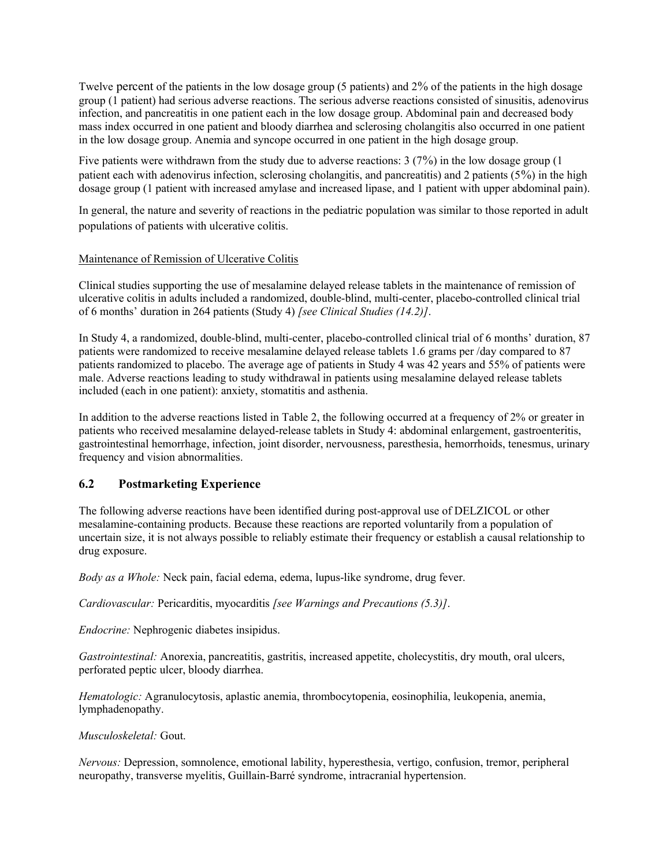Twelve percent of the patients in the low dosage group (5 patients) and 2% of the patients in the high dosage group (1 patient) had serious adverse reactions. The serious adverse reactions consisted of sinusitis, adenovirus infection, and pancreatitis in one patient each in the low dosage group. Abdominal pain and decreased body mass index occurred in one patient and bloody diarrhea and sclerosing cholangitis also occurred in one patient in the low dosage group. Anemia and syncope occurred in one patient in the high dosage group.

Five patients were withdrawn from the study due to adverse reactions: 3 (7%) in the low dosage group (1 patient each with adenovirus infection, sclerosing cholangitis, and pancreatitis) and 2 patients (5%) in the high dosage group (1 patient with increased amylase and increased lipase, and 1 patient with upper abdominal pain).

In general, the nature and severity of reactions in the pediatric population was similar to those reported in adult populations of patients with ulcerative colitis.

#### Maintenance of Remission of Ulcerative Colitis

Clinical studies supporting the use of mesalamine delayed release tablets in the maintenance of remission of ulcerative colitis in adults included a randomized, double-blind, multi-center, placebo-controlled clinical trial of 6 months' duration in 264 patients (Study 4) [see Clinical Studies (14.2)].

In Study 4, a randomized, double-blind, multi-center, placebo-controlled clinical trial of 6 months' duration, 87 patients were randomized to receive mesalamine delayed release tablets 1.6 grams per /day compared to 87 patients randomized to placebo. The average age of patients in Study 4 was 42 years and 55% of patients were male. Adverse reactions leading to study withdrawal in patients using mesalamine delayed release tablets included (each in one patient): anxiety, stomatitis and asthenia.

In addition to the adverse reactions listed in Table 2, the following occurred at a frequency of 2% or greater in patients who received mesalamine delayed-release tablets in Study 4: abdominal enlargement, gastroenteritis, gastrointestinal hemorrhage, infection, joint disorder, nervousness, paresthesia, hemorrhoids, tenesmus, urinary frequency and vision abnormalities.

### 6.2 Postmarketing Experience

The following adverse reactions have been identified during post-approval use of DELZICOL or other mesalamine-containing products. Because these reactions are reported voluntarily from a population of uncertain size, it is not always possible to reliably estimate their frequency or establish a causal relationship to drug exposure.

Body as a Whole: Neck pain, facial edema, edema, lupus-like syndrome, drug fever.

Cardiovascular: Pericarditis, myocarditis [see Warnings and Precautions (5.3)].

Endocrine: Nephrogenic diabetes insipidus.

Gastrointestinal: Anorexia, pancreatitis, gastritis, increased appetite, cholecystitis, dry mouth, oral ulcers, perforated peptic ulcer, bloody diarrhea.

Hematologic: Agranulocytosis, aplastic anemia, thrombocytopenia, eosinophilia, leukopenia, anemia, lymphadenopathy.

#### Musculoskeletal: Gout.

Nervous: Depression, somnolence, emotional lability, hyperesthesia, vertigo, confusion, tremor, peripheral neuropathy, transverse myelitis, Guillain-Barré syndrome, intracranial hypertension.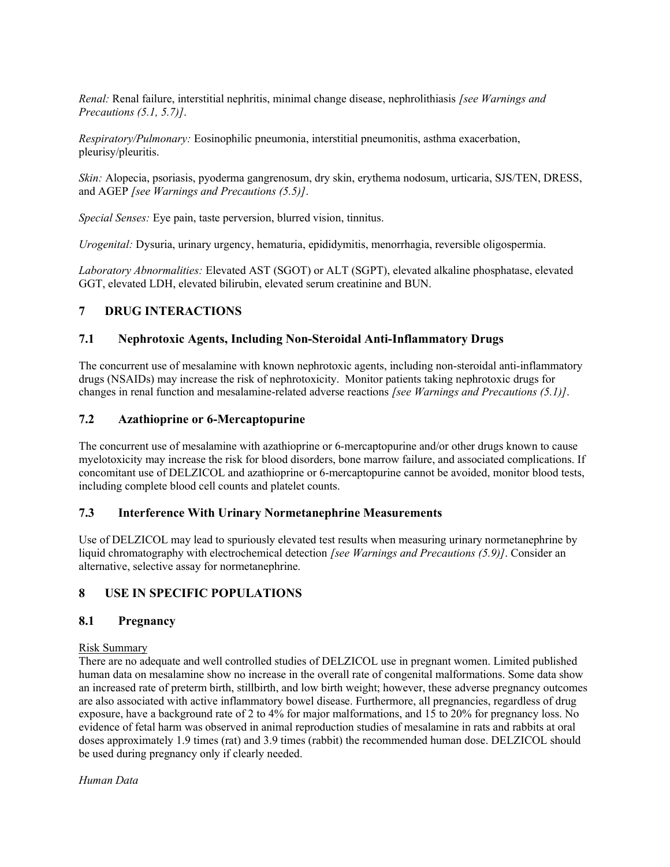Renal: Renal failure, interstitial nephritis, minimal change disease, nephrolithiasis *[see Warnings and* Precautions (5.1, 5.7)].

Respiratory/Pulmonary: Eosinophilic pneumonia, interstitial pneumonitis, asthma exacerbation, pleurisy/pleuritis.

Skin: Alopecia, psoriasis, pyoderma gangrenosum, dry skin, erythema nodosum, urticaria, SJS/TEN, DRESS, and AGEP [see Warnings and Precautions (5.5)].

Special Senses: Eye pain, taste perversion, blurred vision, tinnitus.

Urogenital: Dysuria, urinary urgency, hematuria, epididymitis, menorrhagia, reversible oligospermia.

Laboratory Abnormalities: Elevated AST (SGOT) or ALT (SGPT), elevated alkaline phosphatase, elevated GGT, elevated LDH, elevated bilirubin, elevated serum creatinine and BUN.

### 7 DRUG INTERACTIONS

### 7.1 Nephrotoxic Agents, Including Non-Steroidal Anti-Inflammatory Drugs

The concurrent use of mesalamine with known nephrotoxic agents, including non-steroidal anti-inflammatory drugs (NSAIDs) may increase the risk of nephrotoxicity. Monitor patients taking nephrotoxic drugs for changes in renal function and mesalamine-related adverse reactions [see Warnings and Precautions (5.1)].

### 7.2 Azathioprine or 6-Mercaptopurine

The concurrent use of mesalamine with azathioprine or 6-mercaptopurine and/or other drugs known to cause myelotoxicity may increase the risk for blood disorders, bone marrow failure, and associated complications. If concomitant use of DELZICOL and azathioprine or 6-mercaptopurine cannot be avoided, monitor blood tests, including complete blood cell counts and platelet counts.

### 7.3 Interference With Urinary Normetanephrine Measurements

Use of DELZICOL may lead to spuriously elevated test results when measuring urinary normetanephrine by liquid chromatography with electrochemical detection *[see Warnings and Precautions (5.9)]*. Consider an alternative, selective assay for normetanephrine.

### 8 USE IN SPECIFIC POPULATIONS

### 8.1 Pregnancy

### Risk Summary

There are no adequate and well controlled studies of DELZICOL use in pregnant women. Limited published human data on mesalamine show no increase in the overall rate of congenital malformations. Some data show an increased rate of preterm birth, stillbirth, and low birth weight; however, these adverse pregnancy outcomes are also associated with active inflammatory bowel disease. Furthermore, all pregnancies, regardless of drug exposure, have a background rate of 2 to 4% for major malformations, and 15 to 20% for pregnancy loss. No evidence of fetal harm was observed in animal reproduction studies of mesalamine in rats and rabbits at oral doses approximately 1.9 times (rat) and 3.9 times (rabbit) the recommended human dose. DELZICOL should be used during pregnancy only if clearly needed.

Human Data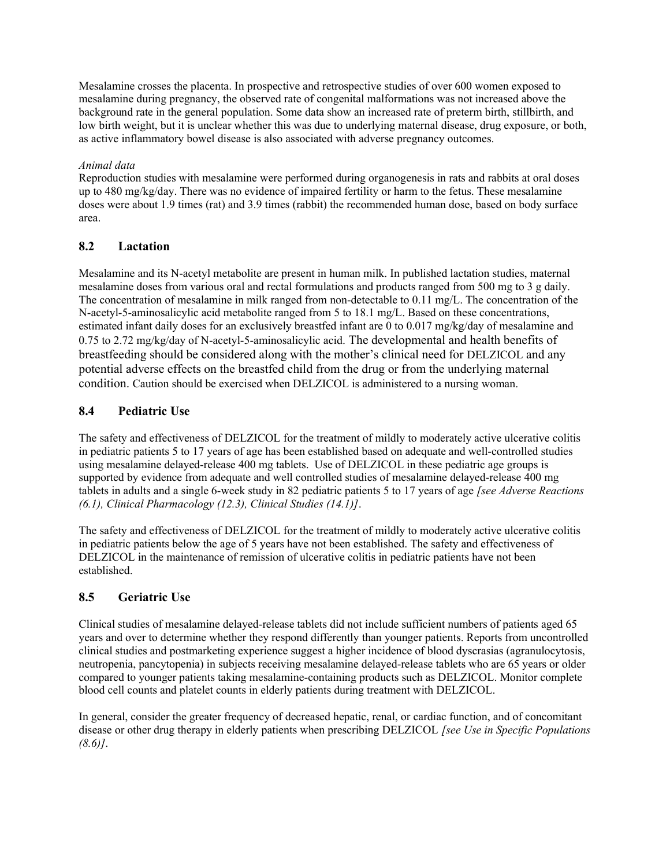Mesalamine crosses the placenta. In prospective and retrospective studies of over 600 women exposed to mesalamine during pregnancy, the observed rate of congenital malformations was not increased above the background rate in the general population. Some data show an increased rate of preterm birth, stillbirth, and low birth weight, but it is unclear whether this was due to underlying maternal disease, drug exposure, or both, as active inflammatory bowel disease is also associated with adverse pregnancy outcomes.

### Animal data

Reproduction studies with mesalamine were performed during organogenesis in rats and rabbits at oral doses up to 480 mg/kg/day. There was no evidence of impaired fertility or harm to the fetus. These mesalamine doses were about 1.9 times (rat) and 3.9 times (rabbit) the recommended human dose, based on body surface area.

## 8.2 Lactation

Mesalamine and its N-acetyl metabolite are present in human milk. In published lactation studies, maternal mesalamine doses from various oral and rectal formulations and products ranged from 500 mg to 3 g daily. The concentration of mesalamine in milk ranged from non-detectable to 0.11 mg/L. The concentration of the N-acetyl-5-aminosalicylic acid metabolite ranged from 5 to 18.1 mg/L. Based on these concentrations, estimated infant daily doses for an exclusively breastfed infant are 0 to 0.017 mg/kg/day of mesalamine and 0.75 to 2.72 mg/kg/day of N-acetyl-5-aminosalicylic acid. The developmental and health benefits of breastfeeding should be considered along with the mother's clinical need for DELZICOL and any potential adverse effects on the breastfed child from the drug or from the underlying maternal condition. Caution should be exercised when DELZICOL is administered to a nursing woman.

## 8.4 Pediatric Use

The safety and effectiveness of DELZICOL for the treatment of mildly to moderately active ulcerative colitis in pediatric patients 5 to 17 years of age has been established based on adequate and well-controlled studies using mesalamine delayed-release 400 mg tablets. Use of DELZICOL in these pediatric age groups is supported by evidence from adequate and well controlled studies of mesalamine delayed-release 400 mg tablets in adults and a single 6-week study in 82 pediatric patients 5 to 17 years of age *[see Adverse Reactions* (6.1), Clinical Pharmacology (12.3), Clinical Studies (14.1)].

The safety and effectiveness of DELZICOL for the treatment of mildly to moderately active ulcerative colitis in pediatric patients below the age of 5 years have not been established. The safety and effectiveness of DELZICOL in the maintenance of remission of ulcerative colitis in pediatric patients have not been established.

## 8.5 Geriatric Use

Clinical studies of mesalamine delayed-release tablets did not include sufficient numbers of patients aged 65 years and over to determine whether they respond differently than younger patients. Reports from uncontrolled clinical studies and postmarketing experience suggest a higher incidence of blood dyscrasias (agranulocytosis, neutropenia, pancytopenia) in subjects receiving mesalamine delayed-release tablets who are 65 years or older compared to younger patients taking mesalamine-containing products such as DELZICOL. Monitor complete blood cell counts and platelet counts in elderly patients during treatment with DELZICOL.

In general, consider the greater frequency of decreased hepatic, renal, or cardiac function, and of concomitant disease or other drug therapy in elderly patients when prescribing DELZICOL [see Use in Specific Populations]  $(8.6)$ .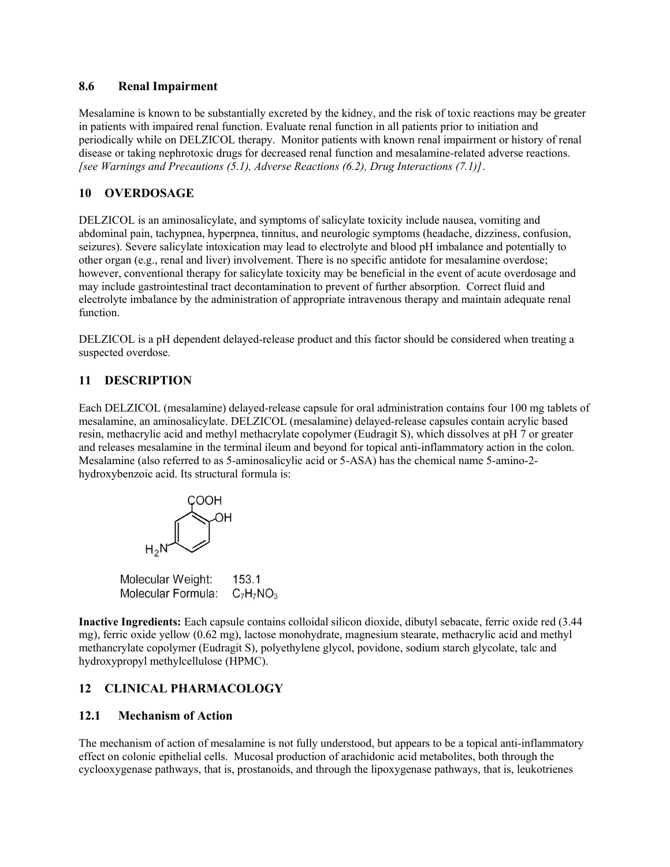### 8.6 Renal Impairment

Mesalamine is known to be substantially excreted by the kidney, and the risk of toxic reactions may be greater in patients with impaired renal function. Evaluate renal function in all patients prior to initiation and periodically while on DELZICOL therapy. Monitor patients with known renal impairment or history of renal disease or taking nephrotoxic drugs for decreased renal function and mesalamine-related adverse reactions. [see Warnings and Precautions  $(5.1)$ , Adverse Reactions  $(6.2)$ , Drug Interactions  $(7.1)$ ].

## 10 OVERDOSAGE

DELZICOL is an aminosalicylate, and symptoms of salicylate toxicity include nausea, vomiting and abdominal pain, tachypnea, hyperpnea, tinnitus, and neurologic symptoms (headache, dizziness, confusion, seizures). Severe salicylate intoxication may lead to electrolyte and blood pH imbalance and potentially to other organ (e.g., renal and liver) involvement. There is no specific antidote for mesalamine overdose; however, conventional therapy for salicylate toxicity may be beneficial in the event of acute overdosage and may include gastrointestinal tract decontamination to prevent of further absorption. Correct fluid and electrolyte imbalance by the administration of appropriate intravenous therapy and maintain adequate renal function.

DELZICOL is a pH dependent delayed-release product and this factor should be considered when treating a suspected overdose.

## 11 DESCRIPTION

Each DELZICOL (mesalamine) delayed-release capsule for oral administration contains four 100 mg tablets of mesalamine, an aminosalicylate. DELZICOL (mesalamine) delayed-release capsules contain acrylic based resin, methacrylic acid and methyl methacrylate copolymer (Eudragit S), which dissolves at pH 7 or greater and releases mesalamine in the terminal ileum and beyond for topical anti-inflammatory action in the colon. Mesalamine (also referred to as 5-aminosalicylic acid or 5-ASA) has the chemical name 5-amino-2 hydroxybenzoic acid. Its structural formula is:



Molecular Weight: 153.1 Molecular Formula:  $C_7H_7NO_3$ 

Inactive Ingredients: Each capsule contains colloidal silicon dioxide, dibutyl sebacate, ferric oxide red (3.44 mg), ferric oxide yellow (0.62 mg), lactose monohydrate, magnesium stearate, methacrylic acid and methyl methancrylate copolymer (Eudragit S), polyethylene glycol, povidone, sodium starch glycolate, talc and hydroxypropyl methylcellulose (HPMC).

## 12 CLINICAL PHARMACOLOGY

## 12.1 Mechanism of Action

The mechanism of action of mesalamine is not fully understood, but appears to be a topical anti-inflammatory effect on colonic epithelial cells. Mucosal production of arachidonic acid metabolites, both through the cyclooxygenase pathways, that is, prostanoids, and through the lipoxygenase pathways, that is, leukotrienes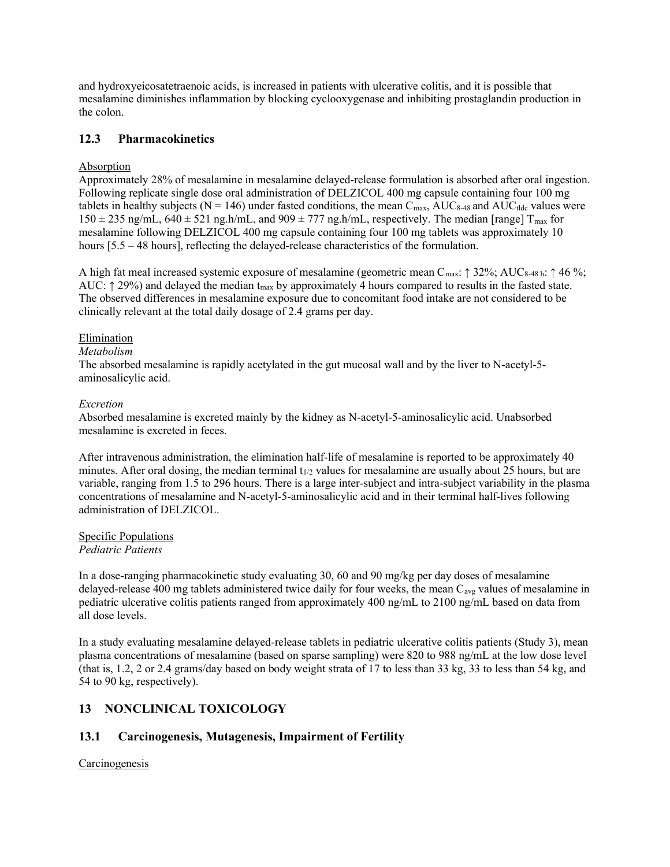and hydroxyeicosatetraenoic acids, is increased in patients with ulcerative colitis, and it is possible that mesalamine diminishes inflammation by blocking cyclooxygenase and inhibiting prostaglandin production in the colon.

### 12.3 Pharmacokinetics

### Absorption

Approximately 28% of mesalamine in mesalamine delayed-release formulation is absorbed after oral ingestion. Following replicate single dose oral administration of DELZICOL 400 mg capsule containing four 100 mg tablets in healthy subjects ( $N = 146$ ) under fasted conditions, the mean  $C_{\text{max}}$ ,  $AUC_{8-48}$  and  $AUC_{tdc}$  values were  $150 \pm 235$  ng/mL,  $640 \pm 521$  ng.h/mL, and  $909 \pm 777$  ng.h/mL, respectively. The median [range]  $T_{max}$  for mesalamine following DELZICOL 400 mg capsule containing four 100 mg tablets was approximately 10 hours [5.5 – 48 hours], reflecting the delayed-release characteristics of the formulation.

A high fat meal increased systemic exposure of mesalamine (geometric mean Cmax: ↑ 32%; AUC8-48 h: ↑ 46 %; AUC:  $\uparrow$  29%) and delayed the median t<sub>max</sub> by approximately 4 hours compared to results in the fasted state. The observed differences in mesalamine exposure due to concomitant food intake are not considered to be clinically relevant at the total daily dosage of 2.4 grams per day.

#### Elimination

#### Metabolism

The absorbed mesalamine is rapidly acetylated in the gut mucosal wall and by the liver to N-acetyl-5 aminosalicylic acid.

#### Excretion

Absorbed mesalamine is excreted mainly by the kidney as N-acetyl-5-aminosalicylic acid. Unabsorbed mesalamine is excreted in feces.

After intravenous administration, the elimination half-life of mesalamine is reported to be approximately 40 minutes. After oral dosing, the median terminal  $t_{1/2}$  values for mesalamine are usually about 25 hours, but are variable, ranging from 1.5 to 296 hours. There is a large inter-subject and intra-subject variability in the plasma concentrations of mesalamine and N-acetyl-5-aminosalicylic acid and in their terminal half-lives following administration of DELZICOL.

#### Specific Populations Pediatric Patients

In a dose-ranging pharmacokinetic study evaluating 30, 60 and 90 mg/kg per day doses of mesalamine delayed-release 400 mg tablets administered twice daily for four weeks, the mean  $C_{avg}$  values of mesalamine in pediatric ulcerative colitis patients ranged from approximately 400 ng/mL to 2100 ng/mL based on data from all dose levels.

In a study evaluating mesalamine delayed-release tablets in pediatric ulcerative colitis patients (Study 3), mean plasma concentrations of mesalamine (based on sparse sampling) were 820 to 988 ng/mL at the low dose level (that is, 1.2, 2 or 2.4 grams/day based on body weight strata of 17 to less than 33 kg, 33 to less than 54 kg, and 54 to 90 kg, respectively).

## 13 NONCLINICAL TOXICOLOGY

## 13.1 Carcinogenesis, Mutagenesis, Impairment of Fertility

Carcinogenesis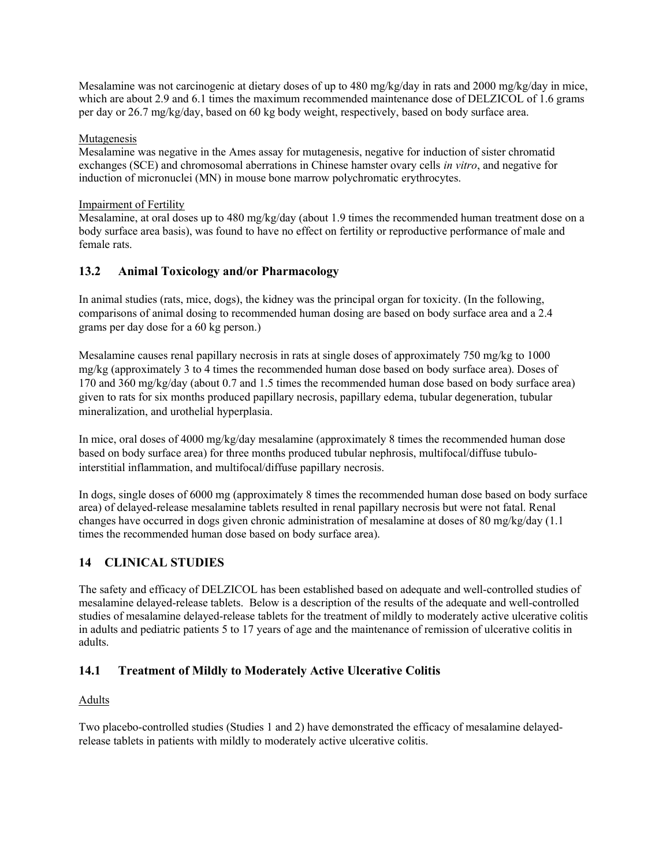Mesalamine was not carcinogenic at dietary doses of up to 480 mg/kg/day in rats and 2000 mg/kg/day in mice, which are about 2.9 and 6.1 times the maximum recommended maintenance dose of DELZICOL of 1.6 grams per day or 26.7 mg/kg/day, based on 60 kg body weight, respectively, based on body surface area.

### Mutagenesis

Mesalamine was negative in the Ames assay for mutagenesis, negative for induction of sister chromatid exchanges (SCE) and chromosomal aberrations in Chinese hamster ovary cells in vitro, and negative for induction of micronuclei (MN) in mouse bone marrow polychromatic erythrocytes.

### Impairment of Fertility

Mesalamine, at oral doses up to 480 mg/kg/day (about 1.9 times the recommended human treatment dose on a body surface area basis), was found to have no effect on fertility or reproductive performance of male and female rats.

## 13.2 Animal Toxicology and/or Pharmacology

In animal studies (rats, mice, dogs), the kidney was the principal organ for toxicity. (In the following, comparisons of animal dosing to recommended human dosing are based on body surface area and a 2.4 grams per day dose for a 60 kg person.)

Mesalamine causes renal papillary necrosis in rats at single doses of approximately 750 mg/kg to 1000 mg/kg (approximately 3 to 4 times the recommended human dose based on body surface area). Doses of 170 and 360 mg/kg/day (about 0.7 and 1.5 times the recommended human dose based on body surface area) given to rats for six months produced papillary necrosis, papillary edema, tubular degeneration, tubular mineralization, and urothelial hyperplasia.

In mice, oral doses of 4000 mg/kg/day mesalamine (approximately 8 times the recommended human dose based on body surface area) for three months produced tubular nephrosis, multifocal/diffuse tubulointerstitial inflammation, and multifocal/diffuse papillary necrosis.

In dogs, single doses of 6000 mg (approximately 8 times the recommended human dose based on body surface area) of delayed-release mesalamine tablets resulted in renal papillary necrosis but were not fatal. Renal changes have occurred in dogs given chronic administration of mesalamine at doses of 80 mg/kg/day (1.1 times the recommended human dose based on body surface area).

## 14 CLINICAL STUDIES

The safety and efficacy of DELZICOL has been established based on adequate and well-controlled studies of mesalamine delayed-release tablets. Below is a description of the results of the adequate and well-controlled studies of mesalamine delayed-release tablets for the treatment of mildly to moderately active ulcerative colitis in adults and pediatric patients 5 to 17 years of age and the maintenance of remission of ulcerative colitis in adults.

## 14.1 Treatment of Mildly to Moderately Active Ulcerative Colitis

### Adults

Two placebo-controlled studies (Studies 1 and 2) have demonstrated the efficacy of mesalamine delayedrelease tablets in patients with mildly to moderately active ulcerative colitis.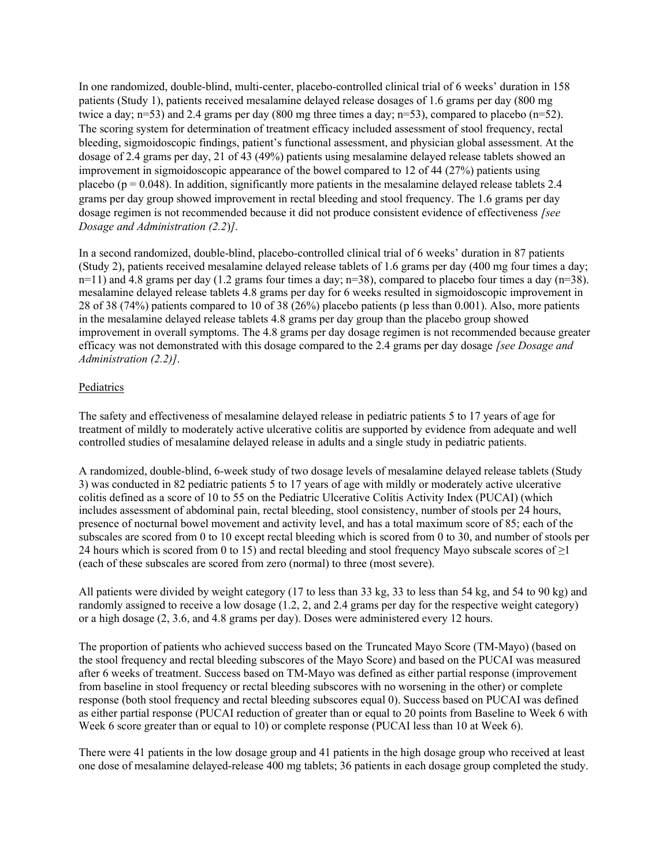In one randomized, double-blind, multi-center, placebo-controlled clinical trial of 6 weeks' duration in 158 patients (Study 1), patients received mesalamine delayed release dosages of 1.6 grams per day (800 mg twice a day; n=53) and 2.4 grams per day (800 mg three times a day; n=53), compared to placebo (n=52). The scoring system for determination of treatment efficacy included assessment of stool frequency, rectal bleeding, sigmoidoscopic findings, patient's functional assessment, and physician global assessment. At the dosage of 2.4 grams per day, 21 of 43 (49%) patients using mesalamine delayed release tablets showed an improvement in sigmoidoscopic appearance of the bowel compared to 12 of 44 (27%) patients using placebo ( $p = 0.048$ ). In addition, significantly more patients in the mesalamine delayed release tablets 2.4 grams per day group showed improvement in rectal bleeding and stool frequency. The 1.6 grams per day dosage regimen is not recommended because it did not produce consistent evidence of effectiveness [see Dosage and Administration (2.2)].

In a second randomized, double-blind, placebo-controlled clinical trial of 6 weeks' duration in 87 patients (Study 2), patients received mesalamine delayed release tablets of 1.6 grams per day (400 mg four times a day;  $n=11$ ) and 4.8 grams per day (1.2 grams four times a day;  $n=38$ ), compared to placebo four times a day ( $n=38$ ). mesalamine delayed release tablets 4.8 grams per day for 6 weeks resulted in sigmoidoscopic improvement in 28 of 38 (74%) patients compared to 10 of 38 (26%) placebo patients (p less than 0.001). Also, more patients in the mesalamine delayed release tablets 4.8 grams per day group than the placebo group showed improvement in overall symptoms. The 4.8 grams per day dosage regimen is not recommended because greater efficacy was not demonstrated with this dosage compared to the 2.4 grams per day dosage [see Dosage and Administration (2.2)].

#### Pediatrics

The safety and effectiveness of mesalamine delayed release in pediatric patients 5 to 17 years of age for treatment of mildly to moderately active ulcerative colitis are supported by evidence from adequate and well controlled studies of mesalamine delayed release in adults and a single study in pediatric patients.

A randomized, double-blind, 6-week study of two dosage levels of mesalamine delayed release tablets (Study 3) was conducted in 82 pediatric patients 5 to 17 years of age with mildly or moderately active ulcerative colitis defined as a score of 10 to 55 on the Pediatric Ulcerative Colitis Activity Index (PUCAI) (which includes assessment of abdominal pain, rectal bleeding, stool consistency, number of stools per 24 hours, presence of nocturnal bowel movement and activity level, and has a total maximum score of 85; each of the subscales are scored from 0 to 10 except rectal bleeding which is scored from 0 to 30, and number of stools per 24 hours which is scored from 0 to 15) and rectal bleeding and stool frequency Mayo subscale scores of  $\geq$ 1 (each of these subscales are scored from zero (normal) to three (most severe).

All patients were divided by weight category (17 to less than 33 kg, 33 to less than 54 kg, and 54 to 90 kg) and randomly assigned to receive a low dosage (1.2, 2, and 2.4 grams per day for the respective weight category) or a high dosage (2, 3.6, and 4.8 grams per day). Doses were administered every 12 hours.

The proportion of patients who achieved success based on the Truncated Mayo Score (TM-Mayo) (based on the stool frequency and rectal bleeding subscores of the Mayo Score) and based on the PUCAI was measured after 6 weeks of treatment. Success based on TM-Mayo was defined as either partial response (improvement from baseline in stool frequency or rectal bleeding subscores with no worsening in the other) or complete response (both stool frequency and rectal bleeding subscores equal 0). Success based on PUCAI was defined as either partial response (PUCAI reduction of greater than or equal to 20 points from Baseline to Week 6 with Week 6 score greater than or equal to 10) or complete response (PUCAI less than 10 at Week 6).

There were 41 patients in the low dosage group and 41 patients in the high dosage group who received at least one dose of mesalamine delayed-release 400 mg tablets; 36 patients in each dosage group completed the study.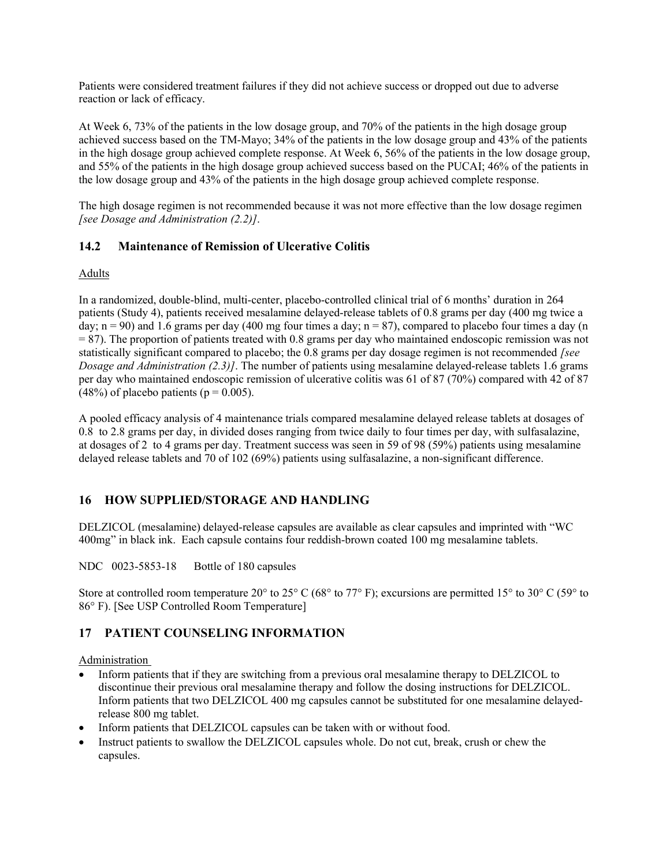Patients were considered treatment failures if they did not achieve success or dropped out due to adverse reaction or lack of efficacy.

At Week 6, 73% of the patients in the low dosage group, and 70% of the patients in the high dosage group achieved success based on the TM-Mayo; 34% of the patients in the low dosage group and 43% of the patients in the high dosage group achieved complete response. At Week 6, 56% of the patients in the low dosage group, and 55% of the patients in the high dosage group achieved success based on the PUCAI; 46% of the patients in the low dosage group and 43% of the patients in the high dosage group achieved complete response.

The high dosage regimen is not recommended because it was not more effective than the low dosage regimen [see Dosage and Administration (2.2)].

## 14.2 Maintenance of Remission of Ulcerative Colitis

### Adults

In a randomized, double-blind, multi-center, placebo-controlled clinical trial of 6 months' duration in 264 patients (Study 4), patients received mesalamine delayed-release tablets of 0.8 grams per day (400 mg twice a day;  $n = 90$ ) and 1.6 grams per day (400 mg four times a day;  $n = 87$ ), compared to placebo four times a day (n  $= 87$ ). The proportion of patients treated with 0.8 grams per day who maintained endoscopic remission was not statistically significant compared to placebo; the  $0.8$  grams per day dosage regimen is not recommended [see Dosage and Administration (2.3)]. The number of patients using mesalamine delayed-release tablets 1.6 grams per day who maintained endoscopic remission of ulcerative colitis was 61 of 87 (70%) compared with 42 of 87  $(48%)$  of placebo patients (p = 0.005).

A pooled efficacy analysis of 4 maintenance trials compared mesalamine delayed release tablets at dosages of 0.8 to 2.8 grams per day, in divided doses ranging from twice daily to four times per day, with sulfasalazine, at dosages of 2 to 4 grams per day. Treatment success was seen in 59 of 98 (59%) patients using mesalamine delayed release tablets and 70 of 102 (69%) patients using sulfasalazine, a non-significant difference.

## 16 HOW SUPPLIED/STORAGE AND HANDLING

DELZICOL (mesalamine) delayed-release capsules are available as clear capsules and imprinted with "WC 400mg" in black ink. Each capsule contains four reddish-brown coated 100 mg mesalamine tablets.

NDC 0023-5853-18 Bottle of 180 capsules

Store at controlled room temperature 20° to 25° C (68° to 77° F); excursions are permitted 15° to 30° C (59° to 86° F). [See USP Controlled Room Temperature]

## 17 PATIENT COUNSELING INFORMATION

### Administration

- Inform patients that if they are switching from a previous oral mesalamine therapy to DELZICOL to discontinue their previous oral mesalamine therapy and follow the dosing instructions for DELZICOL. Inform patients that two DELZICOL 400 mg capsules cannot be substituted for one mesalamine delayedrelease 800 mg tablet.
- Inform patients that DELZICOL capsules can be taken with or without food.
- Instruct patients to swallow the DELZICOL capsules whole. Do not cut, break, crush or chew the capsules.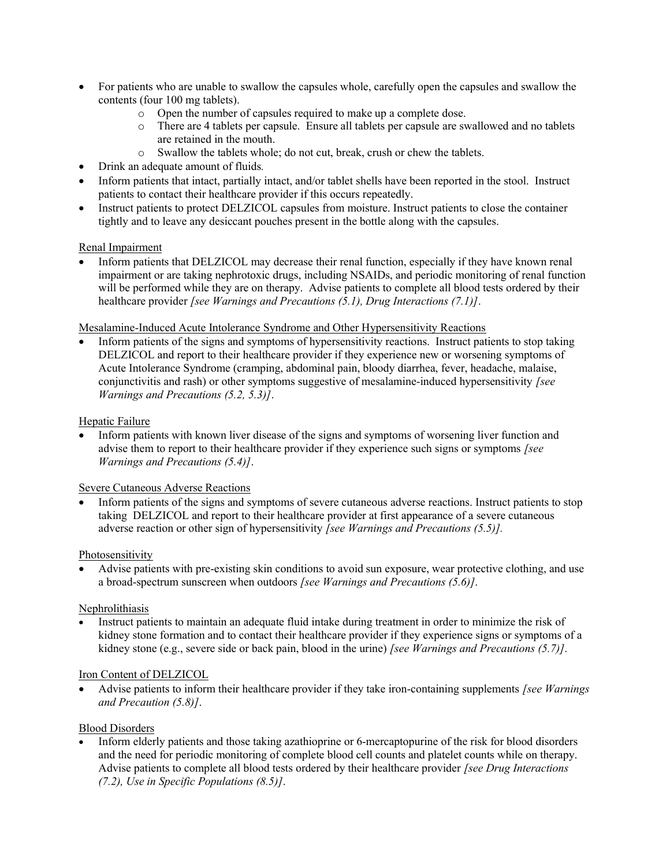- For patients who are unable to swallow the capsules whole, carefully open the capsules and swallow the contents (four 100 mg tablets).
	- o Open the number of capsules required to make up a complete dose.
	- o There are 4 tablets per capsule. Ensure all tablets per capsule are swallowed and no tablets are retained in the mouth.
	- o Swallow the tablets whole; do not cut, break, crush or chew the tablets.
- Drink an adequate amount of fluids.
- Inform patients that intact, partially intact, and/or tablet shells have been reported in the stool. Instruct patients to contact their healthcare provider if this occurs repeatedly.
- Instruct patients to protect DELZICOL capsules from moisture. Instruct patients to close the container tightly and to leave any desiccant pouches present in the bottle along with the capsules.

#### Renal Impairment

 Inform patients that DELZICOL may decrease their renal function, especially if they have known renal impairment or are taking nephrotoxic drugs, including NSAIDs, and periodic monitoring of renal function will be performed while they are on therapy. Advise patients to complete all blood tests ordered by their healthcare provider [see Warnings and Precautions (5.1), Drug Interactions (7.1)].

#### Mesalamine-Induced Acute Intolerance Syndrome and Other Hypersensitivity Reactions

 Inform patients of the signs and symptoms of hypersensitivity reactions. Instruct patients to stop taking DELZICOL and report to their healthcare provider if they experience new or worsening symptoms of Acute Intolerance Syndrome (cramping, abdominal pain, bloody diarrhea, fever, headache, malaise, conjunctivitis and rash) or other symptoms suggestive of mesalamine-induced hypersensitivity [see Warnings and Precautions (5.2, 5.3)].

#### Hepatic Failure

 Inform patients with known liver disease of the signs and symptoms of worsening liver function and advise them to report to their healthcare provider if they experience such signs or symptoms [see Warnings and Precautions (5.4)].

#### Severe Cutaneous Adverse Reactions

 Inform patients of the signs and symptoms of severe cutaneous adverse reactions. Instruct patients to stop taking DELZICOL and report to their healthcare provider at first appearance of a severe cutaneous adverse reaction or other sign of hypersensitivity *[see Warnings and Precautions*  $(5.5)$ *]*.

#### Photosensitivity

 Advise patients with pre-existing skin conditions to avoid sun exposure, wear protective clothing, and use a broad-spectrum sunscreen when outdoors [see Warnings and Precautions (5.6)].

#### **Nephrolithiasis**

 Instruct patients to maintain an adequate fluid intake during treatment in order to minimize the risk of kidney stone formation and to contact their healthcare provider if they experience signs or symptoms of a kidney stone (e.g., severe side or back pain, blood in the urine) [see Warnings and Precautions (5.7)].

#### Iron Content of DELZICOL

Advise patients to inform their healthcare provider if they take iron-containing supplements *[see Warnings*] and Precaution (5.8)].

#### Blood Disorders

 Inform elderly patients and those taking azathioprine or 6-mercaptopurine of the risk for blood disorders and the need for periodic monitoring of complete blood cell counts and platelet counts while on therapy. Advise patients to complete all blood tests ordered by their healthcare provider [see Drug Interactions]  $(7.2)$ , Use in Specific Populations  $(8.5)$ ].